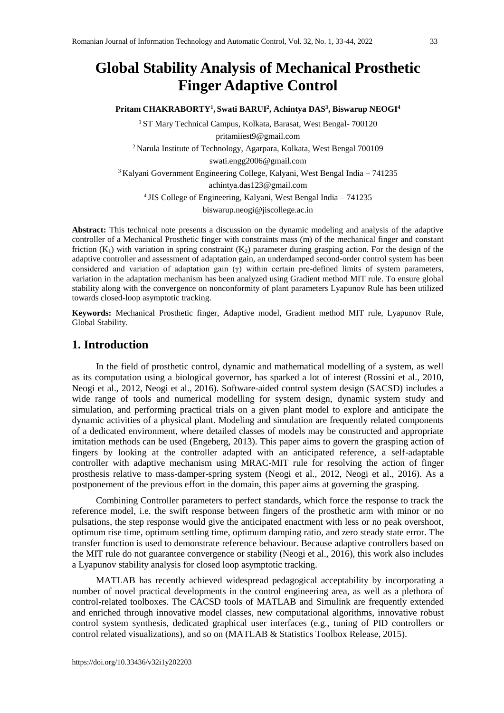# **Global Stability Analysis of Mechanical Prosthetic Finger Adaptive Control**

**Pritam CHAKRABORTY<sup>1</sup> , Swati BARUI<sup>2</sup> , Achintya DAS<sup>3</sup> , Biswarup NEOGI<sup>4</sup>**

<sup>1</sup> ST Mary Technical Campus, Kolkata, Barasat, West Bengal- 700120 [pritamiiest9@gmail.com](mailto:pritamiiest9@gmail.com) <sup>2</sup>Narula Institute of Technology, Agarpara, Kolkata, West Bengal 700109 swati.engg2006@gmail.com <sup>3</sup>Kalyani Government Engineering College, Kalyani, West Bengal India – 741235 achintya.das123@gmail.com <sup>4</sup>JIS College of Engineering, Kalyani, West Bengal India – 741235 [biswarup.neogi@jiscollege.ac.in](mailto:biswarup.neogi@jiscollege.ac.in)

**Abstract:** This technical note presents a discussion on the dynamic modeling and analysis of the adaptive controller of a Mechanical Prosthetic finger with constraints mass (m) of the mechanical finger and constant friction  $(K_1)$  with variation in spring constraint  $(K_2)$  parameter during grasping action. For the design of the adaptive controller and assessment of adaptation gain, an underdamped second-order control system has been considered and variation of adaptation gain (γ) within certain pre-defined limits of system parameters, variation in the adaptation mechanism has been analyzed using Gradient method MIT rule. To ensure global stability along with the convergence on nonconformity of plant parameters Lyapunov Rule has been utilized towards closed-loop asymptotic tracking.

**Keywords:** Mechanical Prosthetic finger, Adaptive model, Gradient method MIT rule, Lyapunov Rule, Global Stability.

#### **1. Introduction**

In the field of prosthetic control, dynamic and mathematical modelling of a system, as well as its computation using a biological governor, has sparked a lot of interest (Rossini et al., 2010, Neogi et al., 2012, Neogi et al., 2016). Software-aided control system design (SACSD) includes a wide range of tools and numerical modelling for system design, dynamic system study and simulation, and performing practical trials on a given plant model to explore and anticipate the dynamic activities of a physical plant. Modeling and simulation are frequently related components of a dedicated environment, where detailed classes of models may be constructed and appropriate imitation methods can be used (Engeberg, 2013). This paper aims to govern the grasping action of fingers by looking at the controller adapted with an anticipated reference, a self-adaptable controller with adaptive mechanism using MRAC-MIT rule for resolving the action of finger prosthesis relative to mass-damper-spring system (Neogi et al., 2012, Neogi et al., 2016). As a postponement of the previous effort in the domain, this paper aims at governing the grasping.

Combining Controller parameters to perfect standards, which force the response to track the reference model, i.e. the swift response between fingers of the prosthetic arm with minor or no pulsations, the step response would give the anticipated enactment with less or no peak overshoot, optimum rise time, optimum settling time, optimum damping ratio, and zero steady state error. The transfer function is used to demonstrate reference behaviour. Because adaptive controllers based on the MIT rule do not guarantee convergence or stability (Neogi et al., 2016), this work also includes a Lyapunov stability analysis for closed loop asymptotic tracking.

MATLAB has recently achieved widespread pedagogical acceptability by incorporating a number of novel practical developments in the control engineering area, as well as a plethora of control-related toolboxes. The CACSD tools of MATLAB and Simulink are frequently extended and enriched through innovative model classes, new computational algorithms, innovative robust control system synthesis, dedicated graphical user interfaces (e.g., tuning of PID controllers or control related visualizations), and so on (MATLAB & Statistics Toolbox Release, 2015).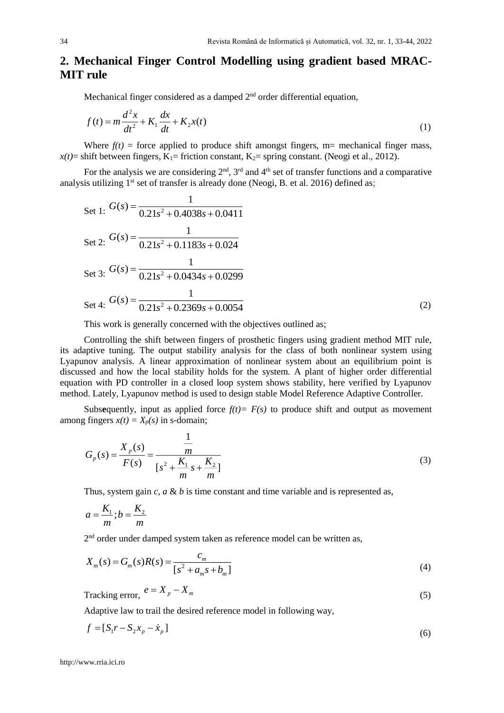## **2. Mechanical Finger Control Modelling using gradient based MRAC-MIT rule**

Mechanical finger considered as a damped  $2<sup>nd</sup>$  order differential equation,

$$
f(t) = m\frac{d^2x}{dt^2} + K_1\frac{dx}{dt} + K_2x(t)
$$
\n(1)

Where  $f(t)$  = force applied to produce shift amongst fingers, m= mechanical finger mass,  $x(t)$ = shift between fingers,  $K_1$ = friction constant,  $K_2$ = spring constant. (Neogi et al., 2012).

For the analysis we are considering  $2<sup>nd</sup>$ ,  $3<sup>rd</sup>$  and  $4<sup>th</sup>$  set of transfer functions and a comparative analysis utilizing 1<sup>st</sup> set of transfer is already done (Neogi, B. et al. 2016) defined as;

Set 1: 
$$
G(s) = \frac{1}{0.21s^2 + 0.4038s + 0.0411}
$$
  
\nSet 2:  $G(s) = \frac{1}{0.21s^2 + 0.1183s + 0.024}$   
\nSet 3:  $G(s) = \frac{1}{0.21s^2 + 0.0434s + 0.0299}$   
\nSet 4:  $G(s) = \frac{1}{0.21s^2 + 0.2369s + 0.0054}$  (2)

This work is generally concerned with the objectives outlined as;

Controlling the shift between fingers of prosthetic fingers using gradient method MIT rule, its adaptive tuning. The output stability analysis for the class of both nonlinear system using Lyapunov analysis. A linear approximation of nonlinear system about an equilibrium point is discussed and how the local stability holds for the system. A plant of higher order differential equation with PD controller in a closed loop system shows stability, here verified by Lyapunov method. Lately, Lyapunov method is used to design stable Model Reference Adaptive Controller.

Subsequently, input as applied force  $f(t) = F(s)$  to produce shift and output as movement among fingers  $x(t) = X_p(s)$  in s-domain;

$$
G_p(s) = \frac{X_p(s)}{F(s)} = \frac{\frac{1}{m}}{[s^2 + \frac{K_1}{m}s + \frac{K_2}{m}]} \tag{3}
$$

Thus, system gain *c*, *a* & *b* is time constant and time variable and is represented as,

$$
a = \frac{K_1}{m}; b = \frac{K_2}{m}
$$

2<sup>nd</sup> order under damped system taken as reference model can be written as,

$$
X_m(s) = G_m(s)R(s) = \frac{c_m}{[s^2 + a_m s + b_m]}
$$
\n(4)

$$
Tracking error, e = X_p - X_m
$$
\n(5)

Adaptive law to trail the desired reference model in following way,

$$
f = [S_1 r - S_2 x_p - \dot{x}_p]
$$
\n<sup>(6)</sup>

[http://www.rria.ici.ro](http://www.rria.ici.ro/)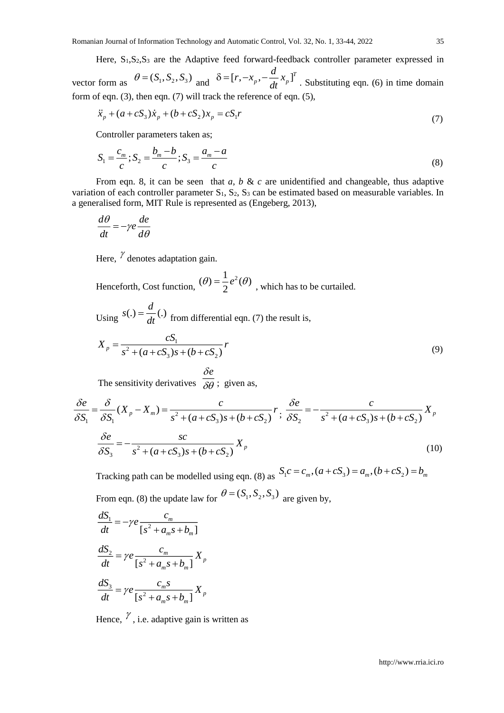Here, S<sub>1</sub>,S<sub>2</sub>,S<sub>3</sub> are the Adaptive feed forward-feedback controller parameter expressed in

vector form as  $\theta = (S_1, S_2, S_3)$  and  $\delta = [r, -x_p, -\frac{a}{dt}x_p]^T$  $\delta = [r, -x_p, -\frac{d}{dt}x_p]^T$ . Substituting eqn. (6) in time domain form of eqn. (3), then eqn. (7) will track the reference of eqn. (5),

$$
\ddot{x}_p + (a + cS_3)\dot{x}_p + (b + cS_2)x_p = cS_1r
$$
\n(7)

Controller parameters taken as;

$$
S_1 = \frac{c_m}{c}; S_2 = \frac{b_m - b}{c}; S_3 = \frac{a_m - a}{c}
$$
\n(8)

From eqn. 8, it can be seen that *a*, *b* & *c* are unidentified and changeable, thus adaptive variation of each controller parameter  $S_1$ ,  $S_2$ ,  $S_3$  can be estimated based on measurable variables. In a generalised form, MIT Rule is represented as (Engeberg, 2013),

$$
\frac{d\theta}{dt} = -\gamma e \frac{de}{d\theta}
$$

Here,  $\frac{\gamma}{\rho}$  denotes adaptation gain.

Henceforth, Cost function,  $(\theta) = \frac{1}{2}e^2(\theta)$  $\hat{\theta}$ ) =  $\frac{1}{2}e^{2}(\theta)$ , which has to be curtailed.

Using  $s(.) = \frac{d}{dt}(.)$  from differential eqn. (7) the result is,

$$
X_p = \frac{cS_1}{s^2 + (a + cS_3)s + (b + cS_2)}r
$$
\n(9)

The sensitivity derivatives  $\delta e$  $\delta\theta$ ; given as,

$$
\frac{\delta e}{\delta S_1} = \frac{\delta}{\delta S_1} (X_p - X_m) = \frac{c}{s^2 + (a + cS_3)s + (b + cS_2)} r; \frac{\delta e}{\delta S_2} = -\frac{c}{s^2 + (a + cS_3)s + (b + cS_2)} X_p
$$

$$
\frac{\delta e}{\delta S_3} = -\frac{sc}{s^2 + (a + cS_3)s + (b + cS_2)} X_p
$$
(10)

Tracking path can be modelled using eqn. (8) as  $S_1c = c_m$ ,  $(a + cS_3) = a_m$ ,  $(b + cS_2) = b_m$ From eqn. (8) the update law for  $\theta = (S_1, S_2, S_3)$  are given by,

$$
\frac{dS_1}{dt} = -\gamma e \frac{c_m}{[s^2 + a_m s + b_m]}
$$

$$
\frac{dS_2}{dt} = \gamma e \frac{c_m}{[s^2 + a_m s + b_m]} X_p
$$

$$
\frac{dS_3}{dt} = \gamma e \frac{c_m s}{[s^2 + a_m s + b_m]} X_p
$$

Hence,  $\gamma$ , i.e. adaptive gain is written as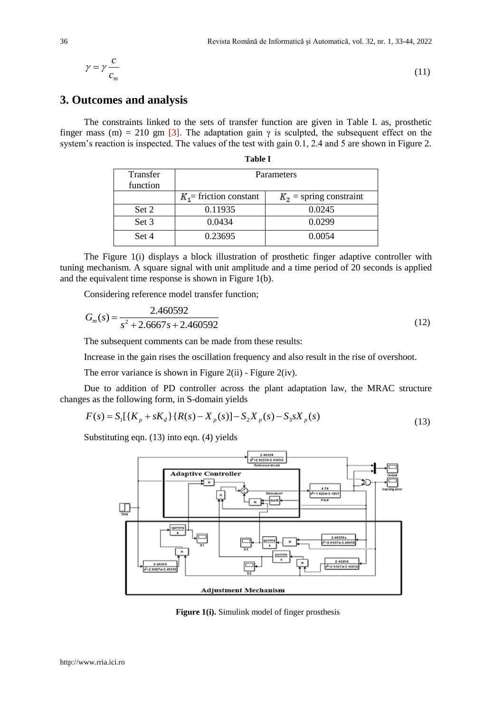$$
\gamma = \gamma \frac{c}{c_m}
$$

**3. Outcomes and analysis**

The constraints linked to the sets of transfer function are given in Table I. as, prosthetic finger mass (m) = 210 gm [3]. The adaptation gain  $\gamma$  is sculpted, the subsequent effect on the system's reaction is inspected. The values of the test with gain 0.1, 2.4 and 5 are shown in Figure 2.

**Table I**

| Transfer | Parameters                |                           |  |  |  |  |  |  |
|----------|---------------------------|---------------------------|--|--|--|--|--|--|
| function |                           |                           |  |  |  |  |  |  |
|          | $K_1$ = friction constant | $K_2$ = spring constraint |  |  |  |  |  |  |
| Set 2    | 0.11935                   | 0.0245                    |  |  |  |  |  |  |
| Set 3    | 0.0434                    | 0.0299                    |  |  |  |  |  |  |
| Set 4    | 0.23695                   | 0.0054                    |  |  |  |  |  |  |

The Figure 1(i) displays a block illustration of prosthetic finger adaptive controller with tuning mechanism. A square signal with unit amplitude and a time period of 20 seconds is applied and the equivalent time response is shown in Figure 1(b).

Considering reference model transfer function;

$$
G_m(s) = \frac{2.460592}{s^2 + 2.6667s + 2.460592}
$$
\n(12)

The subsequent comments can be made from these results:

Increase in the gain rises the oscillation frequency and also result in the rise of overshoot.

The error variance is shown in Figure 2(ii) - Figure 2(iv).

Due to addition of PD controller across the plant adaptation law, the MRAC structure changes as the following form, in S-domain yields

$$
F(s) = S_1[{K_p + sK_d} \{R(s) - X_p(s)] - S_2 X_p(s) - S_3 sX_p(s)
$$
\n(13)

Substituting eqn. (13) into eqn. (4) yields



**Figure 1(i).** Simulink model of finger prosthesis

(11)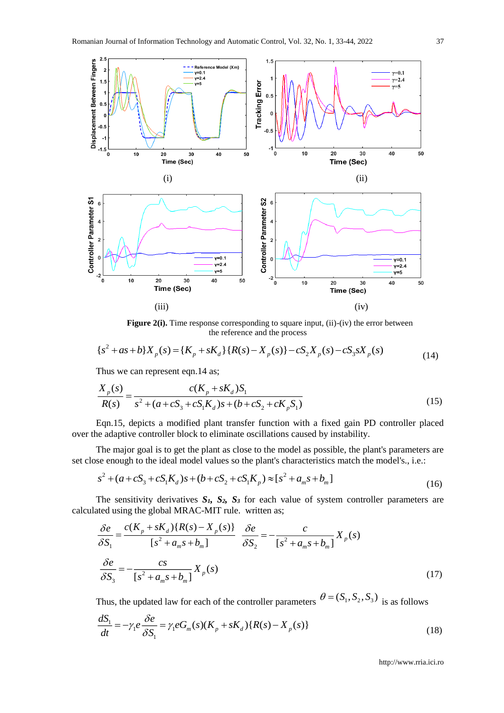

Figure 2(i). Time response corresponding to square input, (ii)-(iv) the error between the reference and the process

$$
\{s^2 + as + b\}X_p(s) = \{K_p + sK_d\}\{R(s) - X_p(s)\} - cS_2X_p(s) - cS_3sX_p(s)
$$
\n(14)

Thus we can represent eqn.14 as;

$$
\frac{X_p(s)}{R(s)} = \frac{c(K_p + sK_d)S_1}{s^2 + (a + cS_3 + cS_1K_d)s + (b + cS_2 + cK_pS_1)}
$$
(15)

Eqn.15, depicts a modified plant transfer function with a fixed gain PD controller placed over the adaptive controller block to eliminate oscillations caused by instability.

The major goal is to get the plant as close to the model as possible, the plant's parameters are set close enough to the ideal model values so the plant's characteristics match the model's., i.e.:

$$
s^{2} + (a + cS_{3} + cS_{1}K_{d})s + (b + cS_{2} + cS_{1}K_{p}) \approx [s^{2} + a_{m}s + b_{m}]
$$
\n(16)

The sensitivity derivatives  $S_1$ ,  $S_2$ ,  $S_3$  for each value of system controller parameters are calculated using the global MRAC-MIT rule. written as;

$$
\frac{\delta e}{\delta S_1} = \frac{c(K_p + sK_d)\{R(s) - X_p(s)\}}{[s^2 + a_m s + b_m]} \frac{\delta e}{\delta S_2} = -\frac{c}{[s^2 + a_m s + b_m]} X_p(s)
$$
\n
$$
\frac{\delta e}{\delta S_3} = -\frac{cs}{[s^2 + a_m s + b_m]} X_p(s)
$$
\n(17)

Thus, the updated law for each of the controller parameters  $\theta = (S_1, S_2, S_3)$  is as follows

$$
\frac{dS_1}{dt} = -\gamma_1 e \frac{\delta e}{\delta S_1} = \gamma_1 e G_m(s) (K_p + sK_d) \{R(s) - X_p(s)\}\tag{18}
$$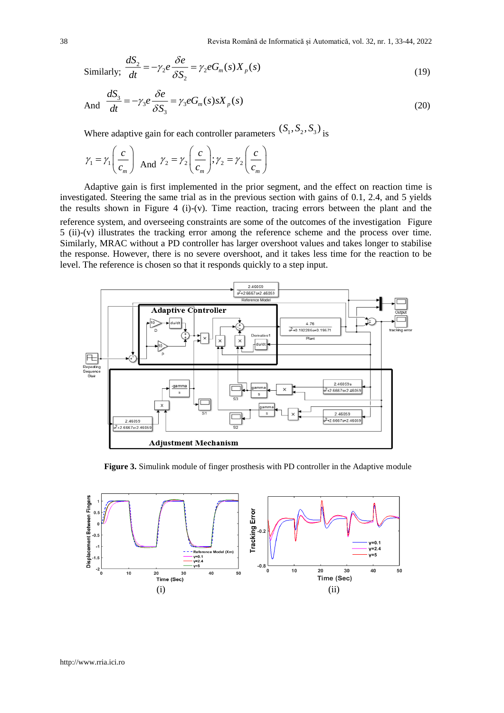Similarly; 
$$
\frac{dS_2}{dt} = -\gamma_2 e \frac{\delta e}{\delta S_2} = \gamma_2 e G_m(s) X_p(s)
$$
 (19)

And 
$$
\frac{dS_3}{dt} = -\gamma_3 e \frac{\delta e}{\delta S_3} = \gamma_3 e G_m(s) s X_p(s)
$$
 (20)

Where adaptive gain for each controller parameters  $(S_1, S_2, S_3)$  is

$$
\gamma_1 = \gamma_1 \left( \frac{c}{c_m} \right)
$$
 And  $\gamma_2 = \gamma_2 \left( \frac{c}{c_m} \right); \gamma_2 = \gamma_2 \left( \frac{c}{c_m} \right)$ 

Adaptive gain is first implemented in the prior segment, and the effect on reaction time is investigated. Steering the same trial as in the previous section with gains of 0.1, 2.4, and 5 yields the results shown in Figure 4 (i)-(v). Time reaction, tracing errors between the plant and the reference system, and overseeing constraints are some of the outcomes of the investigation Figure 5 (ii)-(v) illustrates the tracking error among the reference scheme and the process over time. Similarly, MRAC without a PD controller has larger overshoot values and takes longer to stabilise the response. However, there is no severe overshoot, and it takes less time for the reaction to be level. The reference is chosen so that it responds quickly to a step input.



**Figure 3.** Simulink module of finger prosthesis with PD controller in the Adaptive module

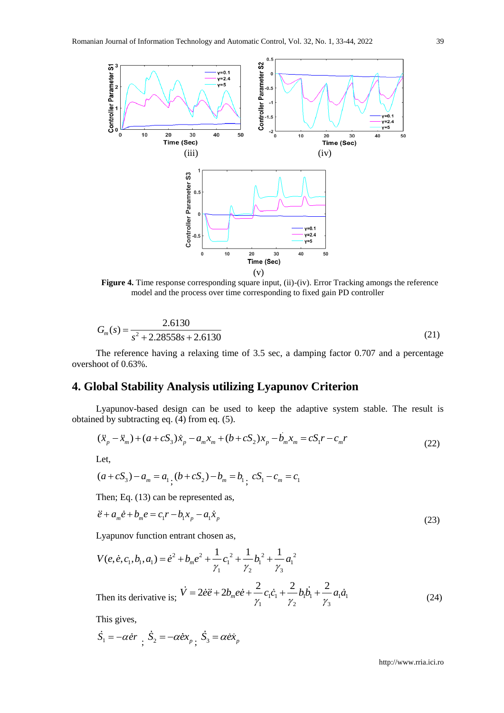

Figure 4. Time response corresponding square input, (ii)-(iv). Error Tracking amongs the reference model and the process over time corresponding to fixed gain PD controller

$$
G_m(s) = \frac{2.6130}{s^2 + 2.28558s + 2.6130}
$$
\n(21)

The reference having a relaxing time of 3.5 sec, a damping factor 0.707 and a percentage overshoot of 0.63%.

## **4. Global Stability Analysis utilizing Lyapunov Criterion**

Lyapunov-based design can be used to keep the adaptive system stable. The result is obtained by subtracting eq. (4) from eq. (5).

$$
(\ddot{x}_p - \ddot{x}_m) + (a + cS_3)\dot{x}_p - a_m x_m + (b + cS_2)x_p - b_m x_m = cS_1 r - c_m r
$$
\n(22)

Let,

$$
(a + cS_3) - a_m = a_1 \cdot (b + cS_2) - b_m = b_1 \cdot cS_1 - c_m = c_1
$$

Then; Eq. (13) can be represented as,

$$
\ddot{e} + a_m \dot{e} + b_m e = c_1 r - b_1 x_p - a_1 \dot{x}_p
$$
\n(23)

Lyapunov function entrant chosen as,

$$
V(e, \dot{e}, c_1, b_1, a_1) = \dot{e}^2 + b_m e^2 + \frac{1}{\gamma_1} c_1^2 + \frac{1}{\gamma_2} b_1^2 + \frac{1}{\gamma_3} a_1^2
$$
  
Then its derivative is;  $\dot{V} = 2\dot{e}\ddot{e} + 2b_m e\dot{e} + \frac{2}{\gamma_1} c_1 \dot{c}_1 + \frac{2}{\gamma_2} b_1 \dot{b}_1 + \frac{2}{\gamma_3} a_1 \dot{a}_1$  (24)

This gives,

$$
\dot{S}_1 = -\alpha \dot{e}r \frac{\dot{S}_2}{\dot{S}_2} = -\alpha \dot{e}x_p \frac{\dot{S}_3}{\dot{S}_3} = \alpha \dot{e}x_p
$$

http://www.rria.ici.ro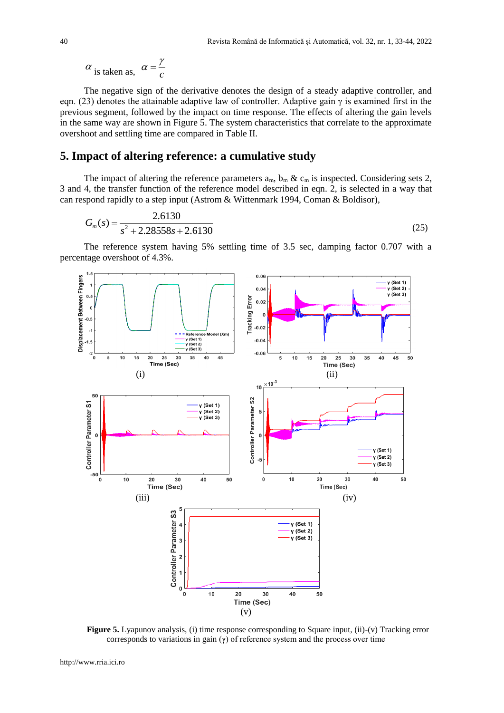$$
\alpha
$$
 is taken as,  $\alpha = \frac{\gamma}{c}$ 

The negative sign of the derivative denotes the design of a steady adaptive controller, and eqn. (23) denotes the attainable adaptive law of controller. Adaptive gain  $\gamma$  is examined first in the previous segment, followed by the impact on time response. The effects of altering the gain levels in the same way are shown in Figure 5. The system characteristics that correlate to the approximate overshoot and settling time are compared in Table II.

### **5. Impact of altering reference: a cumulative study**

The impact of altering the reference parameters  $a_m$ ,  $b_m \& c_m$  is inspected. Considering sets 2, 3 and 4, the transfer function of the reference model described in eqn. 2, is selected in a way that can respond rapidly to a step input (Astrom & Wittenmark 1994, Coman & Boldisor),

$$
G_m(s) = \frac{2.6130}{s^2 + 2.28558s + 2.6130}
$$
\n(25)

The reference system having 5% settling time of 3.5 sec, damping factor 0.707 with a percentage overshoot of 4.3%.



**Figure 5.** Lyapunov analysis, (i) time response corresponding to Square input, (ii)-(v) Tracking error corresponds to variations in gain  $(\gamma)$  of reference system and the process over time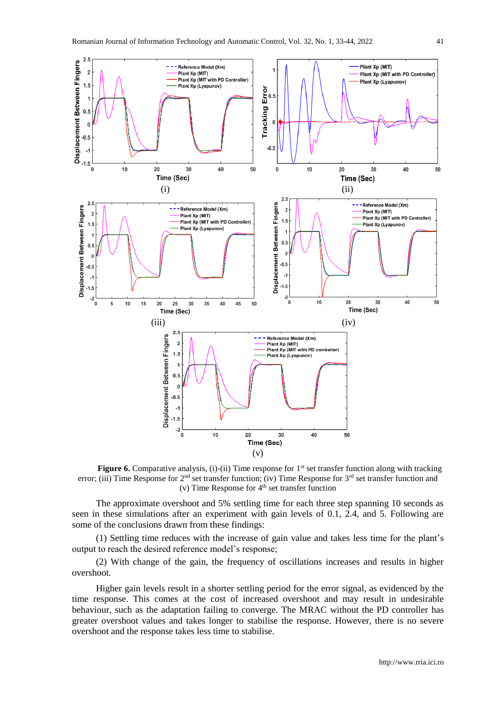

Figure 6. Comparative analysis, (i)-(ii) Time response for 1<sup>st</sup> set transfer function along with tracking error; (iii) Time Response for 2<sup>nd</sup> set transfer function; (iv) Time Response for 3<sup>rd</sup> set transfer function and (v) Time Response for 4<sup>th</sup> set transfer function

The approximate overshoot and 5% settling time for each three step spanning 10 seconds as seen in these simulations after an experiment with gain levels of 0.1, 2.4, and 5. Following are some of the conclusions drawn from these findings:

(1) Settling time reduces with the increase of gain value and takes less time for the plant's output to reach the desired reference model's response;

(2) With change of the gain, the frequency of oscillations increases and results in higher overshoot.

Higher gain levels result in a shorter settling period for the error signal, as evidenced by the time response. This comes at the cost of increased overshoot and may result in undesirable behaviour, such as the adaptation failing to converge. The MRAC without the PD controller has greater overshoot values and takes longer to stabilise the response. However, there is no severe overshoot and the response takes less time to stabilise.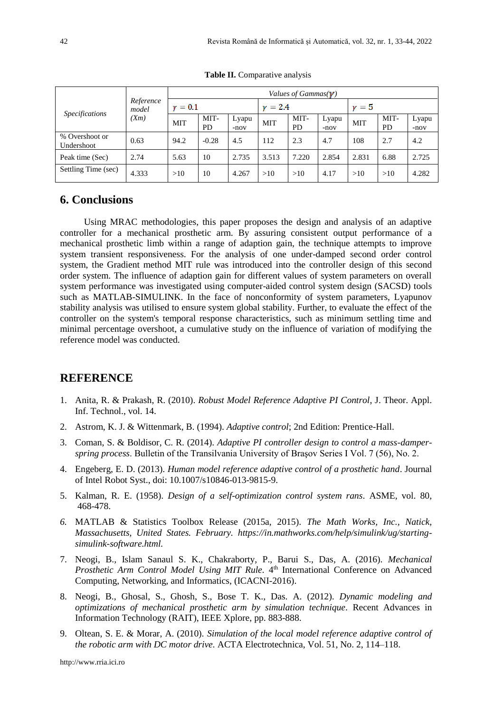|                              | Reference<br>model<br>(X <sub>m</sub> ) | Values of Gammas( $\gamma$ ) |            |                 |            |                   |                 |            |                   |                 |
|------------------------------|-----------------------------------------|------------------------------|------------|-----------------|------------|-------------------|-----------------|------------|-------------------|-----------------|
| <b>Specifications</b>        |                                         | $\nu = 0.1$                  |            | $\nu = 2.4$     |            |                   | $\nu = 5$       |            |                   |                 |
|                              |                                         | <b>MIT</b>                   | MIT-<br>PD | Lyapu<br>$-nov$ | <b>MIT</b> | MIT-<br><b>PD</b> | Lyapu<br>$-nov$ | <b>MIT</b> | MIT-<br><b>PD</b> | Lyapu<br>$-nov$ |
| % Overshoot or<br>Undershoot | 0.63                                    | 94.2                         | $-0.28$    | 4.5             | 112        | 2.3               | 4.7             | 108        | 2.7               | 4.2             |
| Peak time (Sec)              | 2.74                                    | 5.63                         | 10         | 2.735           | 3.513      | 7.220             | 2.854           | 2.831      | 6.88              | 2.725           |
| Settling Time (sec)          | 4.333                                   | >10                          | 10         | 4.267           | >10        | >10               | 4.17            | >10        | >10               | 4.282           |

**Table II.** Comparative analysis

### **6. Conclusions**

Using MRAC methodologies, this paper proposes the design and analysis of an adaptive controller for a mechanical prosthetic arm. By assuring consistent output performance of a mechanical prosthetic limb within a range of adaption gain, the technique attempts to improve system transient responsiveness. For the analysis of one under-damped second order control system, the Gradient method MIT rule was introduced into the controller design of this second order system. The influence of adaption gain for different values of system parameters on overall system performance was investigated using computer-aided control system design (SACSD) tools such as MATLAB-SIMULINK. In the face of nonconformity of system parameters, Lyapunov stability analysis was utilised to ensure system global stability. Further, to evaluate the effect of the controller on the system's temporal response characteristics, such as minimum settling time and minimal percentage overshoot, a cumulative study on the influence of variation of modifying the reference model was conducted.

#### **REFERENCE**

- 1. Anita, R. & Prakash, R. (2010). *Robust Model Reference Adaptive PI Control*, J. Theor. Appl. Inf. Technol., vol. 14.
- 2. Astrom, K. J. & Wittenmark, B. (1994). *Adaptive control*; 2nd Edition: Prentice-Hall.
- 3. Coman, S. & Boldisor, C. R. (2014). *Adaptive PI controller design to control a mass-damperspring process*. Bulletin of the Transilvania University of Braşov Series I Vol. 7 (56), No. 2.
- 4. Engeberg, E. D. (2013). *Human model reference adaptive control of a prosthetic hand*. Journal of Intel Robot Syst., doi: 10.1007/s10846-013-9815-9.
- 5. Kalman, R. E. (1958). *Design of a self-optimization control system rans*. ASME, vol. 80, 468-478.
- *6.* MATLAB & Statistics Toolbox Release (2015a, 2015). *The Math Works, Inc., Natick, Massachusetts, United States. February. https://in.mathworks.com/help/simulink/ug/startingsimulink-software.html.*
- 7. Neogi, B., Islam Sanaul S. K., Chakraborty, P., Barui S., Das, A. (2016). *Mechanical*  Prosthetic Arm Control Model Using MIT Rule. 4<sup>th</sup> International Conference on Advanced Computing, Networking, and Informatics, (ICACNI-2016).
- 8. Neogi, B., Ghosal, S., Ghosh, S., Bose T. K., Das. A. (2012). *Dynamic modeling and optimizations of mechanical prosthetic arm by simulation technique.* Recent Advances in Information Technology (RAIT), IEEE Xplore, pp. 883-888.
- 9. Oltean, S. E. & Morar, A. (2010). *Simulation of the local model reference adaptive control of the robotic arm with DC motor drive.* ACTA Electrotechnica, Vol. 51, No. 2, 114–118.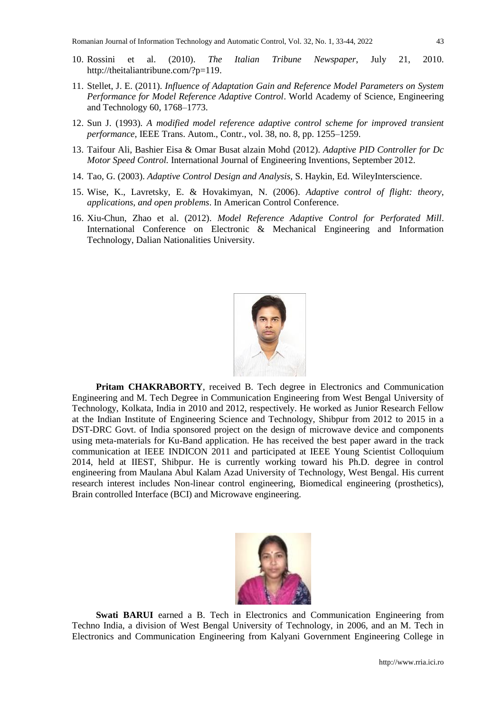- 10. Rossini et al. (2010). *The Italian Tribune Newspaper*, July 21, 2010. [http://theitaliantribune.com/?p=119.](http://theitaliantribune.com/?p=119)
- 11. Stellet, J. E. (2011). *Influence of Adaptation Gain and Reference Model Parameters on System Performance for Model Reference Adaptive Control*. World Academy of Science, Engineering and Technology 60, 1768–1773.
- 12. Sun J. (1993). *A modified model reference adaptive control scheme for improved transient performance*, IEEE Trans. Autom., Contr., vol. 38, no. 8, pp. 1255–1259.
- 13. Taifour Ali, Bashier Eisa & Omar Busat alzain Mohd (2012). *Adaptive PID Controller for Dc Motor Speed Control.* International Journal of Engineering Inventions, September 2012.
- 14. Tao, G. (2003). *Adaptive Control Design and Analysis*, S. Haykin, Ed. WileyInterscience.
- 15. Wise, K., Lavretsky, E. & Hovakimyan, N. (2006). *Adaptive control of flight: theory, applications, and open problems*. In American Control Conference.
- 16. Xiu-Chun, Zhao et al. (2012). *Model Reference Adaptive Control for Perforated Mill*. International Conference on Electronic & Mechanical Engineering and Information Technology, Dalian Nationalities University.



**Pritam CHAKRABORTY**, received B. Tech degree in Electronics and Communication Engineering and M. Tech Degree in Communication Engineering from West Bengal University of Technology, Kolkata, India in 2010 and 2012, respectively. He worked as Junior Research Fellow at the Indian Institute of Engineering Science and Technology, Shibpur from 2012 to 2015 in a DST-DRC Govt. of India sponsored project on the design of microwave device and components using meta-materials for Ku-Band application. He has received the best paper award in the track communication at IEEE INDICON 2011 and participated at IEEE Young Scientist Colloquium 2014, held at IIEST, Shibpur. He is currently working toward his Ph.D. degree in control engineering from Maulana Abul Kalam Azad University of Technology, West Bengal. His current research interest includes Non-linear control engineering, Biomedical engineering (prosthetics), Brain controlled Interface (BCI) and Microwave engineering.



**Swati BARUI** earned a B. Tech in Electronics and Communication Engineering from Techno India, a division of West Bengal University of Technology, in 2006, and an M. Tech in Electronics and Communication Engineering from Kalyani Government Engineering College in